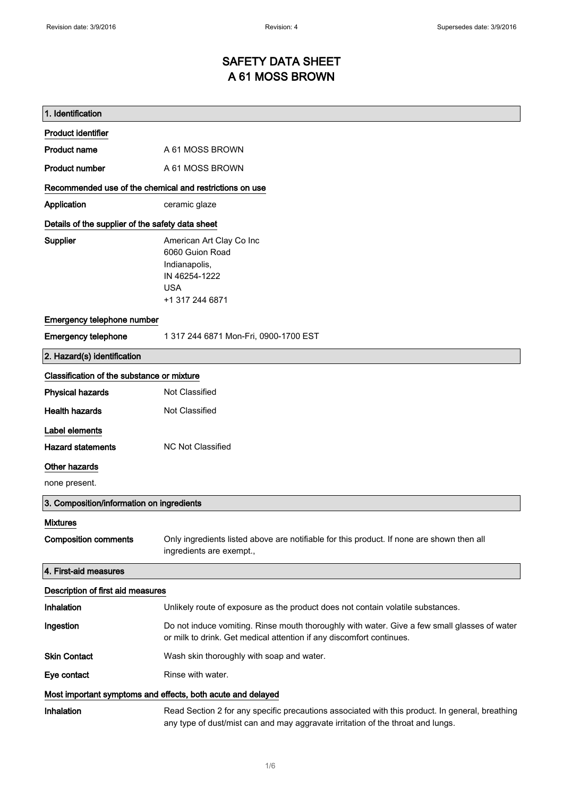# SAFETY DATA SHEET A 61 MOSS BROWN

| 1. Identification                                           |                                                                                                                                                                                    |  |
|-------------------------------------------------------------|------------------------------------------------------------------------------------------------------------------------------------------------------------------------------------|--|
| <b>Product identifier</b>                                   |                                                                                                                                                                                    |  |
| <b>Product name</b>                                         | A 61 MOSS BROWN                                                                                                                                                                    |  |
| <b>Product number</b>                                       | A 61 MOSS BROWN                                                                                                                                                                    |  |
| Recommended use of the chemical and restrictions on use     |                                                                                                                                                                                    |  |
| Application                                                 | ceramic glaze                                                                                                                                                                      |  |
| Details of the supplier of the safety data sheet            |                                                                                                                                                                                    |  |
| <b>Supplier</b>                                             | American Art Clay Co Inc                                                                                                                                                           |  |
|                                                             | 6060 Guion Road                                                                                                                                                                    |  |
|                                                             | Indianapolis,<br>IN 46254-1222                                                                                                                                                     |  |
|                                                             | <b>USA</b>                                                                                                                                                                         |  |
|                                                             | +1 317 244 6871                                                                                                                                                                    |  |
| Emergency telephone number                                  |                                                                                                                                                                                    |  |
| <b>Emergency telephone</b>                                  | 1 317 244 6871 Mon-Fri, 0900-1700 EST                                                                                                                                              |  |
| 2. Hazard(s) identification                                 |                                                                                                                                                                                    |  |
| Classification of the substance or mixture                  |                                                                                                                                                                                    |  |
| <b>Physical hazards</b>                                     | Not Classified                                                                                                                                                                     |  |
| <b>Health hazards</b>                                       | Not Classified                                                                                                                                                                     |  |
| Label elements                                              |                                                                                                                                                                                    |  |
| <b>Hazard statements</b>                                    | <b>NC Not Classified</b>                                                                                                                                                           |  |
| Other hazards                                               |                                                                                                                                                                                    |  |
| none present.                                               |                                                                                                                                                                                    |  |
| 3. Composition/information on ingredients                   |                                                                                                                                                                                    |  |
| <b>Mixtures</b>                                             |                                                                                                                                                                                    |  |
| <b>Composition comments</b>                                 | Only ingredients listed above are notifiable for this product. If none are shown then all<br>ingredients are exempt.,                                                              |  |
| 4. First-aid measures                                       |                                                                                                                                                                                    |  |
| Description of first aid measures                           |                                                                                                                                                                                    |  |
| Inhalation                                                  | Unlikely route of exposure as the product does not contain volatile substances.                                                                                                    |  |
| Ingestion                                                   | Do not induce vomiting. Rinse mouth thoroughly with water. Give a few small glasses of water<br>or milk to drink. Get medical attention if any discomfort continues.               |  |
| <b>Skin Contact</b>                                         | Wash skin thoroughly with soap and water.                                                                                                                                          |  |
| Eye contact                                                 | Rinse with water.                                                                                                                                                                  |  |
| Most important symptoms and effects, both acute and delayed |                                                                                                                                                                                    |  |
| Inhalation                                                  | Read Section 2 for any specific precautions associated with this product. In general, breathing<br>any type of dust/mist can and may aggravate irritation of the throat and lungs. |  |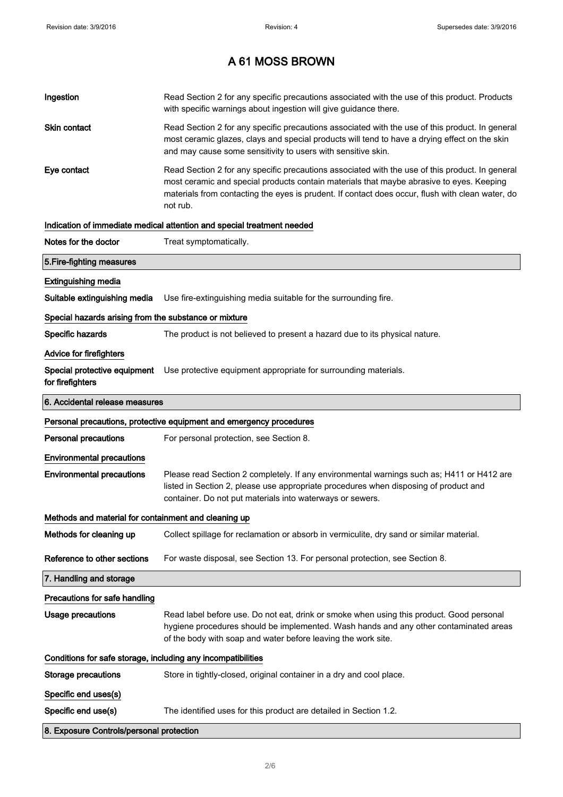| Ingestion                                                    | Read Section 2 for any specific precautions associated with the use of this product. Products<br>with specific warnings about ingestion will give guidance there.                                                                                                                                           |  |
|--------------------------------------------------------------|-------------------------------------------------------------------------------------------------------------------------------------------------------------------------------------------------------------------------------------------------------------------------------------------------------------|--|
| Skin contact                                                 | Read Section 2 for any specific precautions associated with the use of this product. In general<br>most ceramic glazes, clays and special products will tend to have a drying effect on the skin<br>and may cause some sensitivity to users with sensitive skin.                                            |  |
| Eye contact                                                  | Read Section 2 for any specific precautions associated with the use of this product. In general<br>most ceramic and special products contain materials that maybe abrasive to eyes. Keeping<br>materials from contacting the eyes is prudent. If contact does occur, flush with clean water, do<br>not rub. |  |
|                                                              | Indication of immediate medical attention and special treatment needed                                                                                                                                                                                                                                      |  |
| Notes for the doctor                                         | Treat symptomatically.                                                                                                                                                                                                                                                                                      |  |
| 5. Fire-fighting measures                                    |                                                                                                                                                                                                                                                                                                             |  |
| <b>Extinguishing media</b>                                   |                                                                                                                                                                                                                                                                                                             |  |
| Suitable extinguishing media                                 | Use fire-extinguishing media suitable for the surrounding fire.                                                                                                                                                                                                                                             |  |
| Special hazards arising from the substance or mixture        |                                                                                                                                                                                                                                                                                                             |  |
| Specific hazards                                             | The product is not believed to present a hazard due to its physical nature.                                                                                                                                                                                                                                 |  |
| <b>Advice for firefighters</b>                               |                                                                                                                                                                                                                                                                                                             |  |
| for firefighters                                             | Special protective equipment Use protective equipment appropriate for surrounding materials.                                                                                                                                                                                                                |  |
| 6. Accidental release measures                               |                                                                                                                                                                                                                                                                                                             |  |
|                                                              | Personal precautions, protective equipment and emergency procedures                                                                                                                                                                                                                                         |  |
| <b>Personal precautions</b>                                  | For personal protection, see Section 8.                                                                                                                                                                                                                                                                     |  |
| <b>Environmental precautions</b>                             |                                                                                                                                                                                                                                                                                                             |  |
| <b>Environmental precautions</b>                             | Please read Section 2 completely. If any environmental warnings such as; H411 or H412 are<br>listed in Section 2, please use appropriate procedures when disposing of product and<br>container. Do not put materials into waterways or sewers.                                                              |  |
| Methods and material for containment and cleaning up         |                                                                                                                                                                                                                                                                                                             |  |
| Methods for cleaning up                                      | Collect spillage for reclamation or absorb in vermiculite, dry sand or similar material.                                                                                                                                                                                                                    |  |
| Reference to other sections                                  | For waste disposal, see Section 13. For personal protection, see Section 8.                                                                                                                                                                                                                                 |  |
| 7. Handling and storage                                      |                                                                                                                                                                                                                                                                                                             |  |
| Precautions for safe handling                                |                                                                                                                                                                                                                                                                                                             |  |
| <b>Usage precautions</b>                                     | Read label before use. Do not eat, drink or smoke when using this product. Good personal<br>hygiene procedures should be implemented. Wash hands and any other contaminated areas<br>of the body with soap and water before leaving the work site.                                                          |  |
| Conditions for safe storage, including any incompatibilities |                                                                                                                                                                                                                                                                                                             |  |
| <b>Storage precautions</b>                                   | Store in tightly-closed, original container in a dry and cool place.                                                                                                                                                                                                                                        |  |
| Specific end uses(s)                                         |                                                                                                                                                                                                                                                                                                             |  |
| Specific end use(s)                                          |                                                                                                                                                                                                                                                                                                             |  |
|                                                              | The identified uses for this product are detailed in Section 1.2.                                                                                                                                                                                                                                           |  |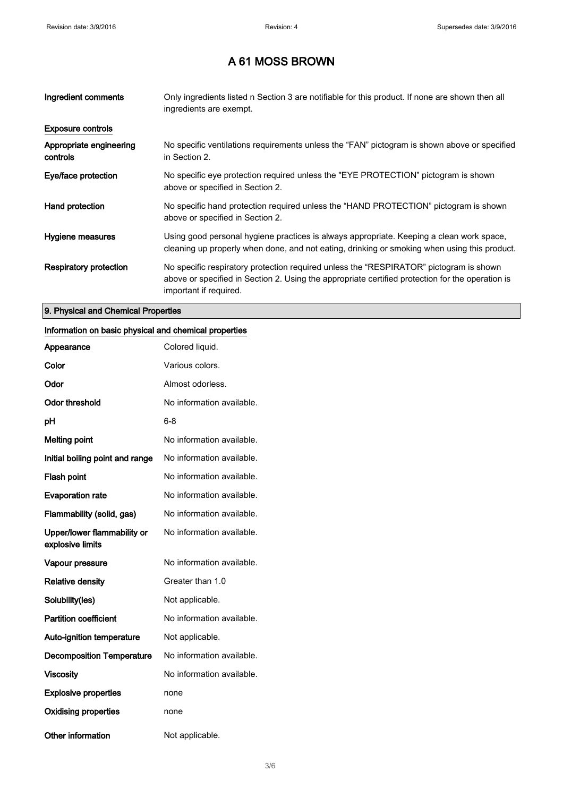| Ingredient comments                 | Only ingredients listed n Section 3 are notifiable for this product. If none are shown then all<br>ingredients are exempt.                                                                                           |
|-------------------------------------|----------------------------------------------------------------------------------------------------------------------------------------------------------------------------------------------------------------------|
| <b>Exposure controls</b>            |                                                                                                                                                                                                                      |
| Appropriate engineering<br>controls | No specific ventilations requirements unless the "FAN" pictogram is shown above or specified<br>in Section 2.                                                                                                        |
| Eye/face protection                 | No specific eye protection required unless the "EYE PROTECTION" pictogram is shown<br>above or specified in Section 2.                                                                                               |
| Hand protection                     | No specific hand protection required unless the "HAND PROTECTION" pictogram is shown<br>above or specified in Section 2.                                                                                             |
| Hygiene measures                    | Using good personal hygiene practices is always appropriate. Keeping a clean work space,<br>cleaning up properly when done, and not eating, drinking or smoking when using this product.                             |
| Respiratory protection              | No specific respiratory protection required unless the "RESPIRATOR" pictogram is shown<br>above or specified in Section 2. Using the appropriate certified protection for the operation is<br>important if required. |

### 9. Physical and Chemical Properties

#### Information on basic physical and chemical properties

| Appearance                                      | Colored liquid.           |
|-------------------------------------------------|---------------------------|
| Color                                           | Various colors.           |
| Odor                                            | Almost odorless.          |
| <b>Odor threshold</b>                           | No information available. |
| рH                                              | 6-8                       |
| <b>Melting point</b>                            | No information available. |
| Initial boiling point and range                 | No information available. |
| <b>Flash point</b>                              | No information available. |
| <b>Evaporation rate</b>                         | No information available. |
| Flammability (solid, gas)                       | No information available. |
| Upper/lower flammability or<br>explosive limits | No information available. |
| Vapour pressure                                 | No information available. |
| <b>Relative density</b>                         | Greater than 1.0          |
| Solubility(ies)                                 | Not applicable.           |
| <b>Partition coefficient</b>                    | No information available. |
| <b>Auto-ignition temperature</b>                | Not applicable.           |
| <b>Decomposition Temperature</b>                | No information available. |
| <b>Viscosity</b>                                | No information available. |
| <b>Explosive properties</b>                     | none                      |
| <b>Oxidising properties</b>                     | none                      |
| Other information                               | Not applicable.           |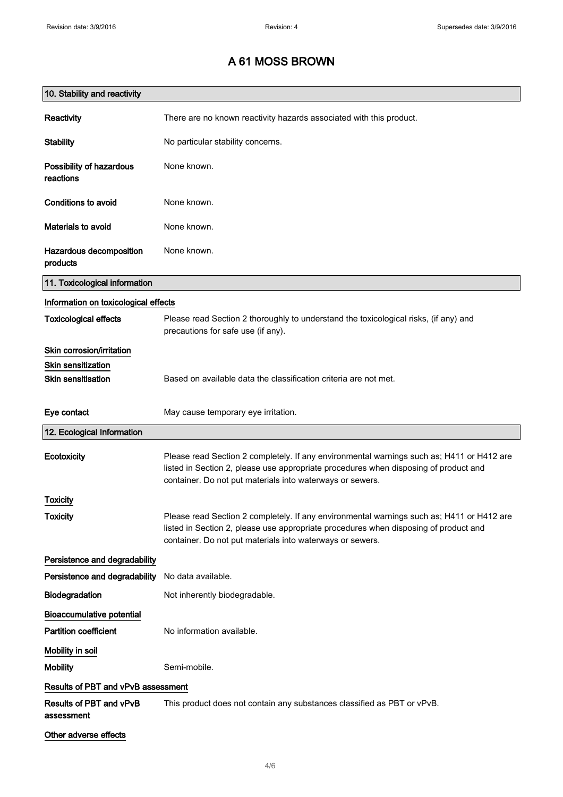| 10. Stability and reactivity          |                                                                                                                                                                                                                                                |
|---------------------------------------|------------------------------------------------------------------------------------------------------------------------------------------------------------------------------------------------------------------------------------------------|
| <b>Reactivity</b>                     | There are no known reactivity hazards associated with this product.                                                                                                                                                                            |
| <b>Stability</b>                      | No particular stability concerns.                                                                                                                                                                                                              |
| Possibility of hazardous<br>reactions | None known.                                                                                                                                                                                                                                    |
| Conditions to avoid                   | None known.                                                                                                                                                                                                                                    |
| Materials to avoid                    | None known.                                                                                                                                                                                                                                    |
| Hazardous decomposition<br>products   | None known.                                                                                                                                                                                                                                    |
| 11. Toxicological information         |                                                                                                                                                                                                                                                |
| Information on toxicological effects  |                                                                                                                                                                                                                                                |
| <b>Toxicological effects</b>          | Please read Section 2 thoroughly to understand the toxicological risks, (if any) and<br>precautions for safe use (if any).                                                                                                                     |
| Skin corrosion/irritation             |                                                                                                                                                                                                                                                |
| <b>Skin sensitization</b>             |                                                                                                                                                                                                                                                |
| <b>Skin sensitisation</b>             | Based on available data the classification criteria are not met.                                                                                                                                                                               |
| Eye contact                           | May cause temporary eye irritation.                                                                                                                                                                                                            |
| 12. Ecological Information            |                                                                                                                                                                                                                                                |
| Ecotoxicity                           | Please read Section 2 completely. If any environmental warnings such as; H411 or H412 are<br>listed in Section 2, please use appropriate procedures when disposing of product and<br>container. Do not put materials into waterways or sewers. |
| Toxicity                              |                                                                                                                                                                                                                                                |
| <b>Toxicity</b>                       | Please read Section 2 completely. If any environmental warnings such as; H411 or H412 are<br>listed in Section 2, please use appropriate procedures when disposing of product and<br>container. Do not put materials into waterways or sewers. |
| Persistence and degradability         |                                                                                                                                                                                                                                                |
| Persistence and degradability         | No data available.                                                                                                                                                                                                                             |
| Biodegradation                        | Not inherently biodegradable.                                                                                                                                                                                                                  |
| Bioaccumulative potential             |                                                                                                                                                                                                                                                |
| <b>Partition coefficient</b>          | No information available.                                                                                                                                                                                                                      |
| Mobility in soil                      |                                                                                                                                                                                                                                                |
| <b>Mobility</b>                       | Semi-mobile.                                                                                                                                                                                                                                   |
| Results of PBT and vPvB assessment    |                                                                                                                                                                                                                                                |
| Results of PBT and vPvB<br>assessment | This product does not contain any substances classified as PBT or vPvB.                                                                                                                                                                        |
| Other adverse effects                 |                                                                                                                                                                                                                                                |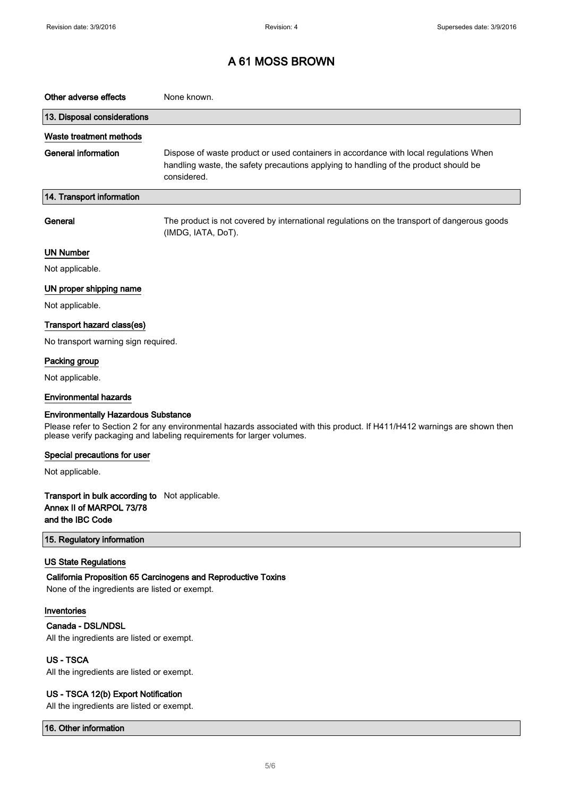| Other adverse effects                                                                                                                                                                                                                             | None known.                                                                                                                                                                                  |  |
|---------------------------------------------------------------------------------------------------------------------------------------------------------------------------------------------------------------------------------------------------|----------------------------------------------------------------------------------------------------------------------------------------------------------------------------------------------|--|
| 13. Disposal considerations                                                                                                                                                                                                                       |                                                                                                                                                                                              |  |
| Waste treatment methods                                                                                                                                                                                                                           |                                                                                                                                                                                              |  |
| <b>General information</b>                                                                                                                                                                                                                        | Dispose of waste product or used containers in accordance with local regulations When<br>handling waste, the safety precautions applying to handling of the product should be<br>considered. |  |
| 14. Transport information                                                                                                                                                                                                                         |                                                                                                                                                                                              |  |
| General                                                                                                                                                                                                                                           | The product is not covered by international regulations on the transport of dangerous goods<br>(IMDG, IATA, DoT).                                                                            |  |
| <b>UN Number</b>                                                                                                                                                                                                                                  |                                                                                                                                                                                              |  |
| Not applicable.                                                                                                                                                                                                                                   |                                                                                                                                                                                              |  |
| UN proper shipping name                                                                                                                                                                                                                           |                                                                                                                                                                                              |  |
| Not applicable.                                                                                                                                                                                                                                   |                                                                                                                                                                                              |  |
| Transport hazard class(es)                                                                                                                                                                                                                        |                                                                                                                                                                                              |  |
| No transport warning sign required.                                                                                                                                                                                                               |                                                                                                                                                                                              |  |
| Packing group                                                                                                                                                                                                                                     |                                                                                                                                                                                              |  |
| Not applicable.                                                                                                                                                                                                                                   |                                                                                                                                                                                              |  |
| <b>Environmental hazards</b>                                                                                                                                                                                                                      |                                                                                                                                                                                              |  |
| <b>Environmentally Hazardous Substance</b><br>Please refer to Section 2 for any environmental hazards associated with this product. If H411/H412 warnings are shown then<br>please verify packaging and labeling requirements for larger volumes. |                                                                                                                                                                                              |  |
| Special precautions for user                                                                                                                                                                                                                      |                                                                                                                                                                                              |  |
| Not applicable.                                                                                                                                                                                                                                   |                                                                                                                                                                                              |  |
| Transport in bulk according to Not applicable.<br>Annex II of MARPOL 73/78<br>and the IBC Code                                                                                                                                                    |                                                                                                                                                                                              |  |
| 15. Regulatory information                                                                                                                                                                                                                        |                                                                                                                                                                                              |  |
| <b>US State Regulations</b>                                                                                                                                                                                                                       | California Proposition 65 Carcinogens and Reproductive Toxins                                                                                                                                |  |
| None of the ingredients are listed or exempt.                                                                                                                                                                                                     |                                                                                                                                                                                              |  |
| Inventories                                                                                                                                                                                                                                       |                                                                                                                                                                                              |  |
| Canada - DSL/NDSL                                                                                                                                                                                                                                 |                                                                                                                                                                                              |  |
| All the ingredients are listed or exempt.                                                                                                                                                                                                         |                                                                                                                                                                                              |  |
| <b>US-TSCA</b>                                                                                                                                                                                                                                    |                                                                                                                                                                                              |  |
| All the ingredients are listed or exempt.                                                                                                                                                                                                         |                                                                                                                                                                                              |  |
| US - TSCA 12(b) Export Notification<br>All the ingredients are listed or exempt.                                                                                                                                                                  |                                                                                                                                                                                              |  |

16. Other information